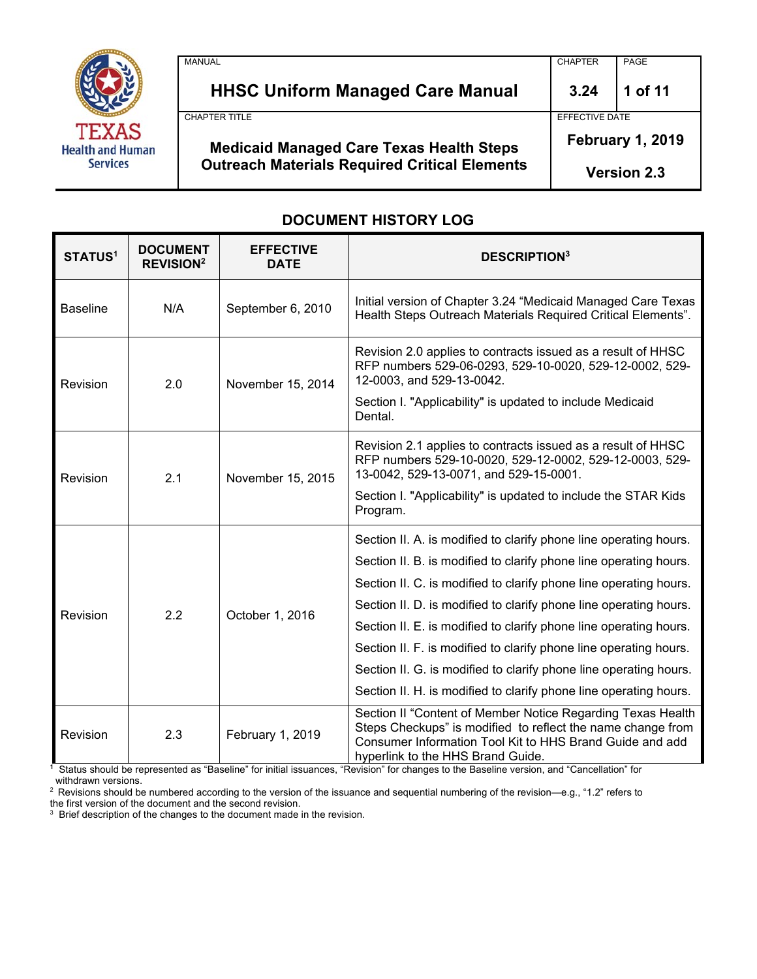

| <b>Medicaid Managed Care Texas Health Steps</b><br><b>Outreach Materials Required Critical Elements</b> | EFFECTIVE DATE<br><b>February 1, 2019</b><br><b>Version 2.3</b> |         |
|---------------------------------------------------------------------------------------------------------|-----------------------------------------------------------------|---------|
| <b>CHAPTER TITLE</b>                                                                                    |                                                                 |         |
| <b>HHSC Uniform Managed Care Manual</b>                                                                 | 3.24                                                            | 1 of 11 |
| <b>MANUAL</b>                                                                                           | <b>CHAPTER</b>                                                  | PAGE    |

# **DOCUMENT HISTORY LOG**

| <b>STATUS1</b>  | <b>DOCUMENT</b><br><b>REVISION<sup>2</sup></b> | <b>EFFECTIVE</b><br><b>DATE</b> | <b>DESCRIPTION3</b>                                                                                                                                                                                                                                                                                                                                                                                                                                                                                                                                                  |
|-----------------|------------------------------------------------|---------------------------------|----------------------------------------------------------------------------------------------------------------------------------------------------------------------------------------------------------------------------------------------------------------------------------------------------------------------------------------------------------------------------------------------------------------------------------------------------------------------------------------------------------------------------------------------------------------------|
| <b>Baseline</b> | N/A                                            | September 6, 2010               | Initial version of Chapter 3.24 "Medicaid Managed Care Texas<br>Health Steps Outreach Materials Required Critical Elements".                                                                                                                                                                                                                                                                                                                                                                                                                                         |
| Revision        | 2.0                                            | November 15, 2014               | Revision 2.0 applies to contracts issued as a result of HHSC<br>RFP numbers 529-06-0293, 529-10-0020, 529-12-0002, 529-<br>12-0003, and 529-13-0042.<br>Section I. "Applicability" is updated to include Medicaid<br>Dental.                                                                                                                                                                                                                                                                                                                                         |
| Revision        | 2.1                                            | November 15, 2015               | Revision 2.1 applies to contracts issued as a result of HHSC<br>RFP numbers 529-10-0020, 529-12-0002, 529-12-0003, 529-<br>13-0042, 529-13-0071, and 529-15-0001.<br>Section I. "Applicability" is updated to include the STAR Kids<br>Program.                                                                                                                                                                                                                                                                                                                      |
| Revision        | 2.2                                            | October 1, 2016                 | Section II. A. is modified to clarify phone line operating hours.<br>Section II. B. is modified to clarify phone line operating hours.<br>Section II. C. is modified to clarify phone line operating hours.<br>Section II. D. is modified to clarify phone line operating hours.<br>Section II. E. is modified to clarify phone line operating hours.<br>Section II. F. is modified to clarify phone line operating hours.<br>Section II. G. is modified to clarify phone line operating hours.<br>Section II. H. is modified to clarify phone line operating hours. |
| Revision        | 2.3                                            | February 1, 2019                | Section II "Content of Member Notice Regarding Texas Health<br>Steps Checkups" is modified to reflect the name change from<br>Consumer Information Tool Kit to HHS Brand Guide and add<br>hynerlink to the HHS Brand Guide.                                                                                                                                                                                                                                                                                                                                          |

hyperlink to the HHS Brand Guide. **1** Status should be represented as "Baseline" for initial issuances, "Revision" for changes to the Baseline version, and "Cancellation" for withdrawn versions.

<sup>2</sup> Revisions should be numbered according to the version of the issuance and sequential numbering of the revision—e.g., "1.2" refers to

the first version of the document and the second revision.<br><sup>3</sup> Brief description of the changes to the document made in the revision.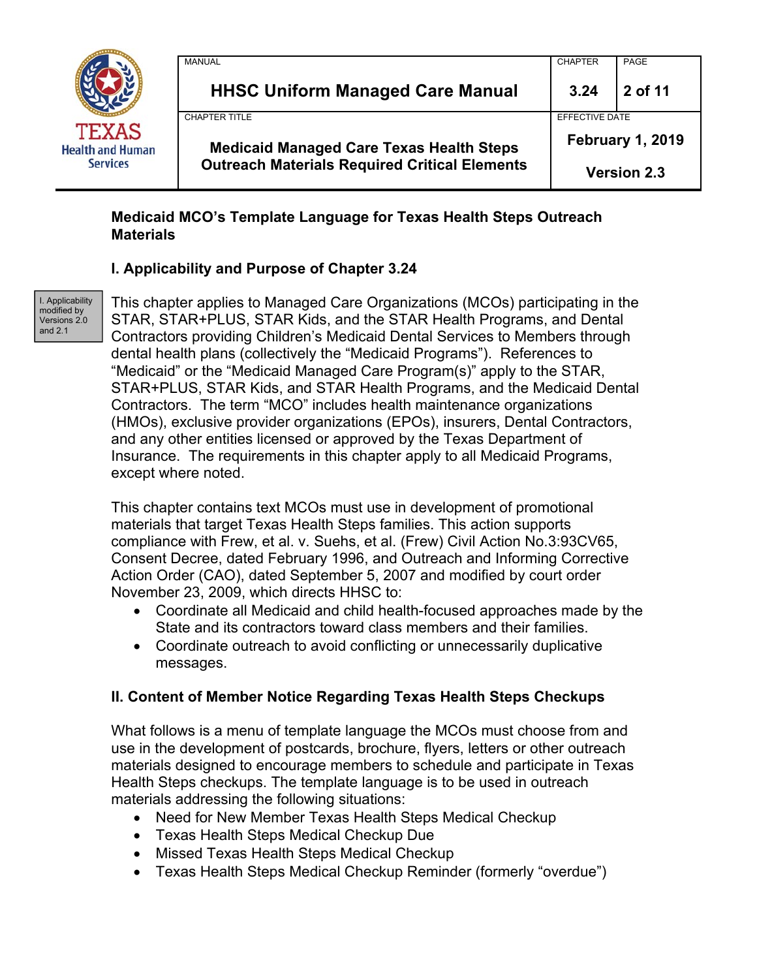

| <b>Outreach Materials Required Critical Elements</b> | <b>February 1, 2019</b><br><b>Version 2.3</b> |         |
|------------------------------------------------------|-----------------------------------------------|---------|
| <b>Medicaid Managed Care Texas Health Steps</b>      |                                               |         |
| <b>CHAPTER TITLE</b>                                 | EFFECTIVE DATE                                |         |
| <b>HHSC Uniform Managed Care Manual</b>              | 3.24                                          | 2 of 11 |
| <b>MANUAL</b>                                        | <b>CHAPTER</b>                                | PAGE    |

### **Medicaid MCO's Template Language for Texas Health Steps Outreach Materials**

### **I. Applicability and Purpose of Chapter 3.24**

I. Applicability modified by Versions 2.0 and 2.1

This chapter applies to Managed Care Organizations (MCOs) participating in the STAR, STAR+PLUS, STAR Kids, and the STAR Health Programs, and Dental Contractors providing Children's Medicaid Dental Services to Members through dental health plans (collectively the "Medicaid Programs"). References to "Medicaid" or the "Medicaid Managed Care Program(s)" apply to the STAR, STAR+PLUS, STAR Kids, and STAR Health Programs, and the Medicaid Dental Contractors. The term "MCO" includes health maintenance organizations (HMOs), exclusive provider organizations (EPOs), insurers, Dental Contractors, and any other entities licensed or approved by the Texas Department of Insurance. The requirements in this chapter apply to all Medicaid Programs, except where noted.

This chapter contains text MCOs must use in development of promotional materials that target Texas Health Steps families. This action supports compliance with Frew, et al. v. Suehs, et al. (Frew) Civil Action No.3:93CV65, Consent Decree, dated February 1996, and Outreach and Informing Corrective Action Order (CAO), dated September 5, 2007 and modified by court order November 23, 2009, which directs HHSC to:

- Coordinate all Medicaid and child health-focused approaches made by the State and its contractors toward class members and their families.
- Coordinate outreach to avoid conflicting or unnecessarily duplicative messages.

# **II. Content of Member Notice Regarding Texas Health Steps Checkups**

What follows is a menu of template language the MCOs must choose from and use in the development of postcards, brochure, flyers, letters or other outreach materials designed to encourage members to schedule and participate in Texas Health Steps checkups. The template language is to be used in outreach materials addressing the following situations:

- Need for New Member Texas Health Steps Medical Checkup
- Texas Health Steps Medical Checkup Due
- Missed Texas Health Steps Medical Checkup
- Texas Health Steps Medical Checkup Reminder (formerly "overdue")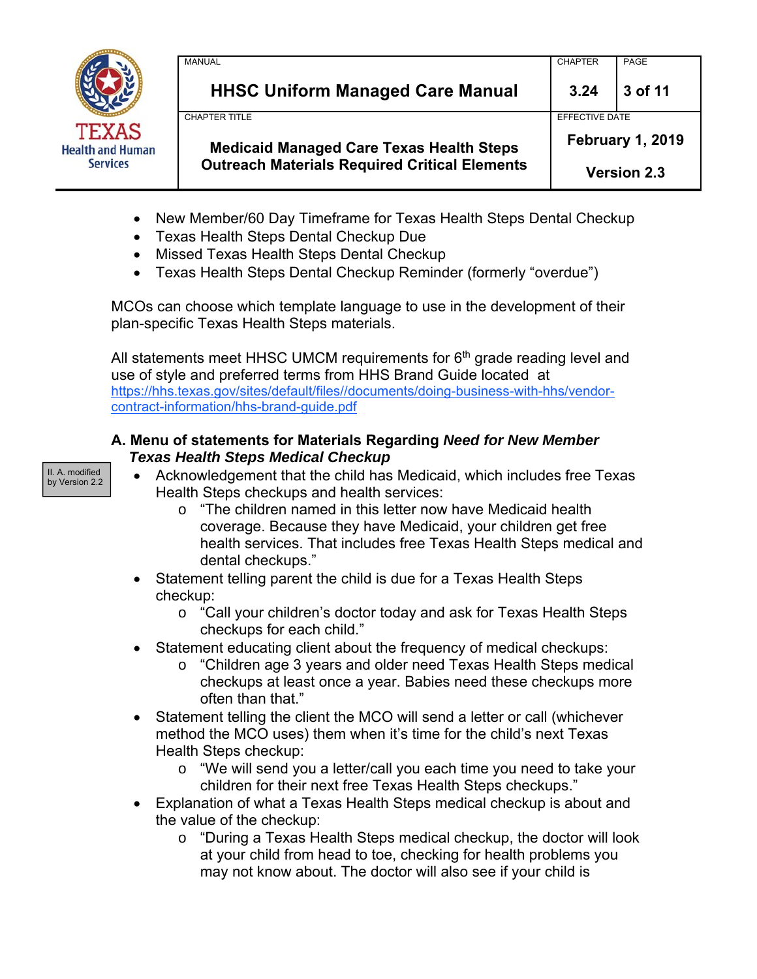

| <b>Medicaid Managed Care Texas Health Steps</b><br><b>Outreach Materials Required Critical Elements</b> |                                           | <b>Version 2.3</b> |
|---------------------------------------------------------------------------------------------------------|-------------------------------------------|--------------------|
| CHAPTER TITI F                                                                                          | FFFFCTIVE DATE<br><b>February 1, 2019</b> |                    |
| <b>HHSC Uniform Managed Care Manual</b>                                                                 | 3.24                                      | 3 of 11            |
| MANUAL                                                                                                  | <b>CHAPTER</b>                            | PAGE               |

- New Member/60 Day Timeframe for Texas Health Steps Dental Checkup
- Texas Health Steps Dental Checkup Due
- Missed Texas Health Steps Dental Checkup
- Texas Health Steps Dental Checkup Reminder (formerly "overdue")

MCOs can choose which template language to use in the development of their plan-specific Texas Health Steps materials.

All statements meet HHSC UMCM requirements for  $6<sup>th</sup>$  grade reading level and use of style and preferred terms from HHS Brand Guide located at https://hhs.texas.gov/sites/default/files//documents/doing-business-with-hhs/vendorcontract-information/hhs-brand-guide.pdf

#### **A. Menu of statements for Materials Regarding** *Need for New Member Texas Health Steps Medical Checkup*

II. A. modified by Version 2.2

- Acknowledgement that the child has Medicaid, which includes free Texas Health Steps checkups and health services:
	- o "The children named in this letter now have Medicaid health coverage. Because they have Medicaid, your children get free health services. That includes free Texas Health Steps medical and dental checkups."
- Statement telling parent the child is due for a Texas Health Steps checkup:
	- o "Call your children's doctor today and ask for Texas Health Steps checkups for each child."
- Statement educating client about the frequency of medical checkups:
	- o "Children age 3 years and older need Texas Health Steps medical checkups at least once a year. Babies need these checkups more often than that."
- Statement telling the client the MCO will send a letter or call (whichever method the MCO uses) them when it's time for the child's next Texas Health Steps checkup:
	- o "We will send you a letter/call you each time you need to take your children for their next free Texas Health Steps checkups."
- Explanation of what a Texas Health Steps medical checkup is about and the value of the checkup:
	- o "During a Texas Health Steps medical checkup, the doctor will look at your child from head to toe, checking for health problems you may not know about. The doctor will also see if your child is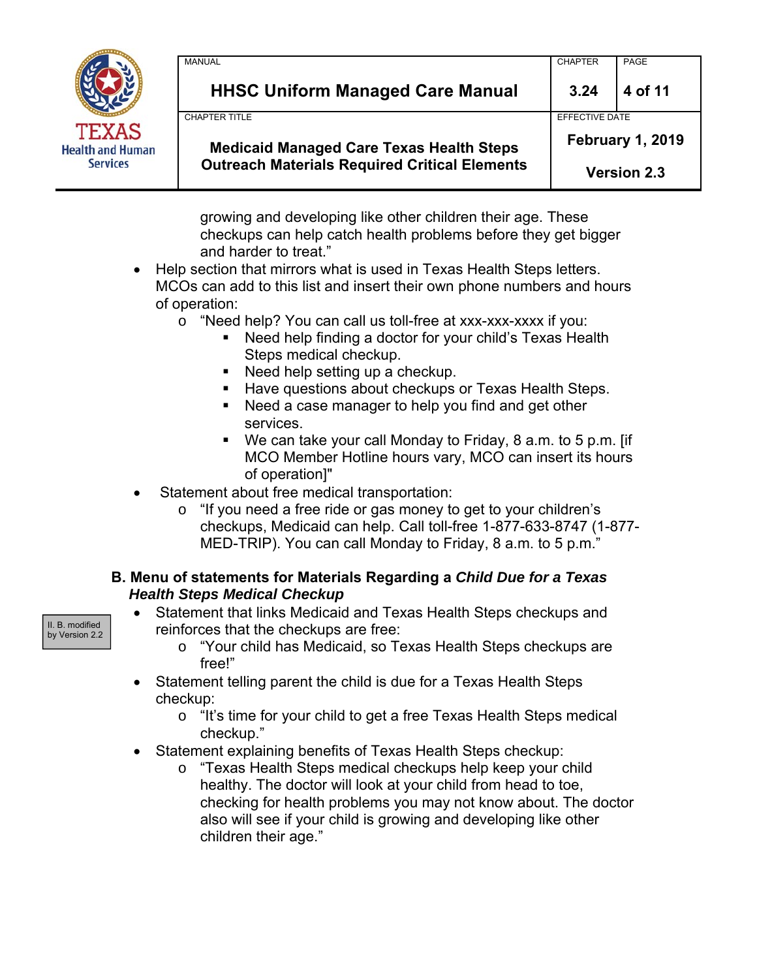

| <b>Medicaid Managed Care Texas Health Steps</b><br><b>Outreach Materials Required Critical Elements</b> | February 1, 2019<br><b>Version 2.3</b> |                |  |
|---------------------------------------------------------------------------------------------------------|----------------------------------------|----------------|--|
| <b>CHAPTER TITLE</b>                                                                                    |                                        | EFFECTIVE DATE |  |
| <b>HHSC Uniform Managed Care Manual</b>                                                                 | 3.24                                   | 4 of 11        |  |
| <b>MANUAL</b>                                                                                           | <b>CHAPTER</b>                         | PAGE           |  |

growing and developing like other children their age. These checkups can help catch health problems before they get bigger and harder to treat."

- Help section that mirrors what is used in Texas Health Steps letters. MCOs can add to this list and insert their own phone numbers and hours of operation:
	- o "Need help? You can call us toll-free at xxx-xxx-xxxx if you:
		- Need help finding a doctor for your child's Texas Health Steps medical checkup.
		- Need help setting up a checkup.
		- **Have questions about checkups or Texas Health Steps.**
		- Need a case manager to help you find and get other services.
		- We can take your call Monday to Friday, 8 a.m. to 5 p.m. [if MCO Member Hotline hours vary, MCO can insert its hours of operation]"
- Statement about free medical transportation:
	- o "If you need a free ride or gas money to get to your children's checkups, Medicaid can help. Call toll-free 1-877-633-8747 (1-877- MED-TRIP). You can call Monday to Friday, 8 a.m. to 5 p.m."

## **B. Menu of statements for Materials Regarding a** *Child Due for a Texas Health Steps Medical Checkup*

- Statement that links Medicaid and Texas Health Steps checkups and reinforces that the checkups are free:
	- o "Your child has Medicaid, so Texas Health Steps checkups are free!"
- Statement telling parent the child is due for a Texas Health Steps checkup:
	- o "It's time for your child to get a free Texas Health Steps medical checkup."
- Statement explaining benefits of Texas Health Steps checkup:
	- o "Texas Health Steps medical checkups help keep your child healthy. The doctor will look at your child from head to toe, checking for health problems you may not know about. The doctor also will see if your child is growing and developing like other children their age."

II. B. modified by Version 2.2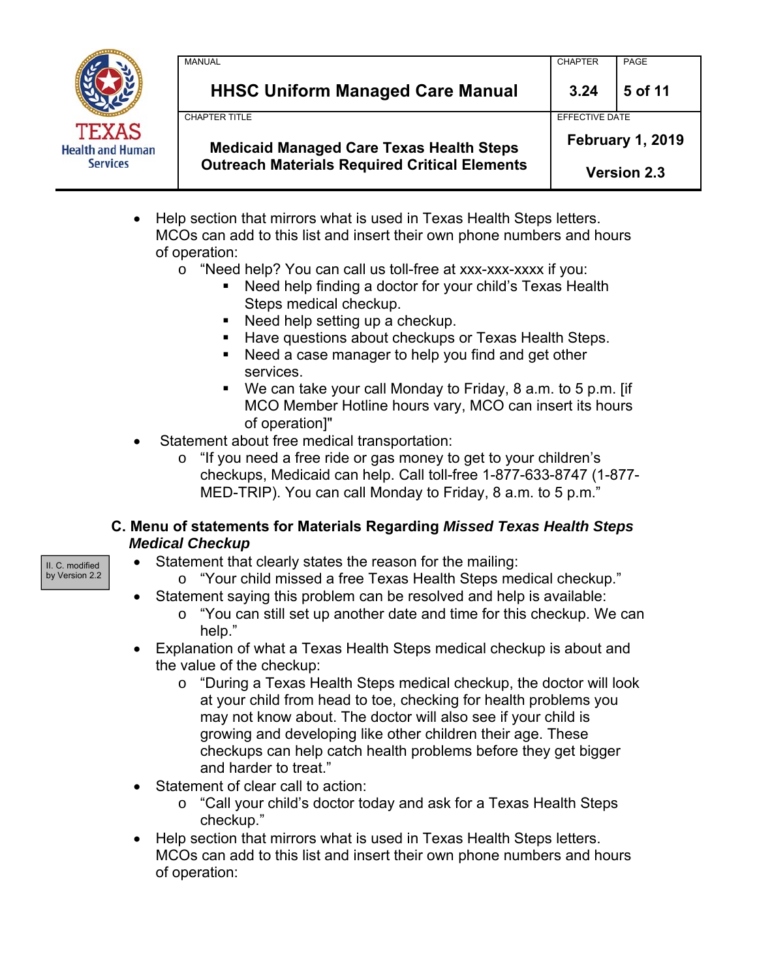

| <b>MANUAL</b><br><b>HHSC Uniform Managed Care Manual</b>                                                | <b>CHAPTER</b><br>3.24                        | PAGE<br>5 of 11 |
|---------------------------------------------------------------------------------------------------------|-----------------------------------------------|-----------------|
|                                                                                                         |                                               |                 |
| <b>CHAPTER TITLE</b>                                                                                    | EFFECTIVE DATE                                |                 |
| <b>Medicaid Managed Care Texas Health Steps</b><br><b>Outreach Materials Required Critical Elements</b> | <b>February 1, 2019</b><br><b>Version 2.3</b> |                 |

- Help section that mirrors what is used in Texas Health Steps letters. MCOs can add to this list and insert their own phone numbers and hours of operation:
	- o "Need help? You can call us toll-free at xxx-xxx-xxxx if you:
		- Need help finding a doctor for your child's Texas Health Steps medical checkup.
		- Need help setting up a checkup.
		- Have questions about checkups or Texas Health Steps.
		- Need a case manager to help you find and get other services.
		- We can take your call Monday to Friday, 8 a.m. to 5 p.m. [if MCO Member Hotline hours vary, MCO can insert its hours of operation]"
- Statement about free medical transportation:
	- o "If you need a free ride or gas money to get to your children's checkups, Medicaid can help. Call toll-free 1-877-633-8747 (1-877- MED-TRIP). You can call Monday to Friday, 8 a.m. to 5 p.m."

### **C. Menu of statements for Materials Regarding** *Missed Texas Health Steps Medical Checkup*

- Statement that clearly states the reason for the mailing:
	- o "Your child missed a free Texas Health Steps medical checkup."
- Statement saying this problem can be resolved and help is available:
	- $\circ$  "You can still set up another date and time for this checkup. We can help."
- Explanation of what a Texas Health Steps medical checkup is about and the value of the checkup:
	- o "During a Texas Health Steps medical checkup, the doctor will look at your child from head to toe, checking for health problems you may not know about. The doctor will also see if your child is growing and developing like other children their age. These checkups can help catch health problems before they get bigger and harder to treat."
- Statement of clear call to action:
	- o "Call your child's doctor today and ask for a Texas Health Steps checkup."
- Help section that mirrors what is used in Texas Health Steps letters. MCOs can add to this list and insert their own phone numbers and hours of operation:

II. C. modified by Version 2.2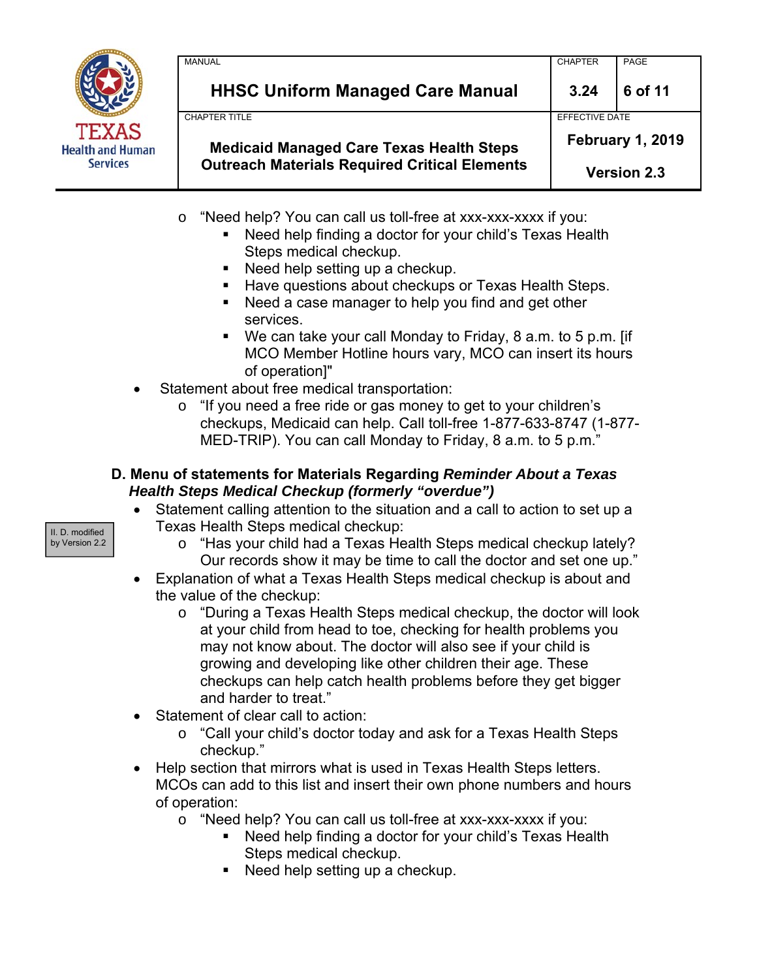

| <b>HHSC Uniform Managed Care Manual</b>                                 | 3.24                                      | 6 of 11 |
|-------------------------------------------------------------------------|-------------------------------------------|---------|
| <b>CHAPTER TITLE</b><br><b>Medicaid Managed Care Texas Health Steps</b> | EFFECTIVE DATE<br><b>February 1, 2019</b> |         |
| <b>Outreach Materials Required Critical Elements</b>                    | <b>Version 2.3</b>                        |         |

- o "Need help? You can call us toll-free at xxx-xxx-xxxx if you:
	- Need help finding a doctor for your child's Texas Health Steps medical checkup.
	- Need help setting up a checkup.
	- **Have questions about checkups or Texas Health Steps.**
	- Need a case manager to help you find and get other services.
	- We can take your call Monday to Friday, 8 a.m. to 5 p.m. [if MCO Member Hotline hours vary, MCO can insert its hours of operation]"
- Statement about free medical transportation:
	- o "If you need a free ride or gas money to get to your children's checkups, Medicaid can help. Call toll-free 1-877-633-8747 (1-877- MED-TRIP). You can call Monday to Friday, 8 a.m. to 5 p.m."

## **D. Menu of statements for Materials Regarding** *Reminder About a Texas Health Steps Medical Checkup (formerly "overdue")*

- Statement calling attention to the situation and a call to action to set up a Texas Health Steps medical checkup:
	- o "Has your child had a Texas Health Steps medical checkup lately? Our records show it may be time to call the doctor and set one up."
- Explanation of what a Texas Health Steps medical checkup is about and the value of the checkup:
	- o "During a Texas Health Steps medical checkup, the doctor will look at your child from head to toe, checking for health problems you may not know about. The doctor will also see if your child is growing and developing like other children their age. These checkups can help catch health problems before they get bigger and harder to treat."
- Statement of clear call to action:
	- o "Call your child's doctor today and ask for a Texas Health Steps checkup."
- Help section that mirrors what is used in Texas Health Steps letters. MCOs can add to this list and insert their own phone numbers and hours of operation:
	- o "Need help? You can call us toll-free at xxx-xxx-xxxx if you:
		- Need help finding a doctor for your child's Texas Health Steps medical checkup.
		- Need help setting up a checkup.

II. D. modified by Version 2.2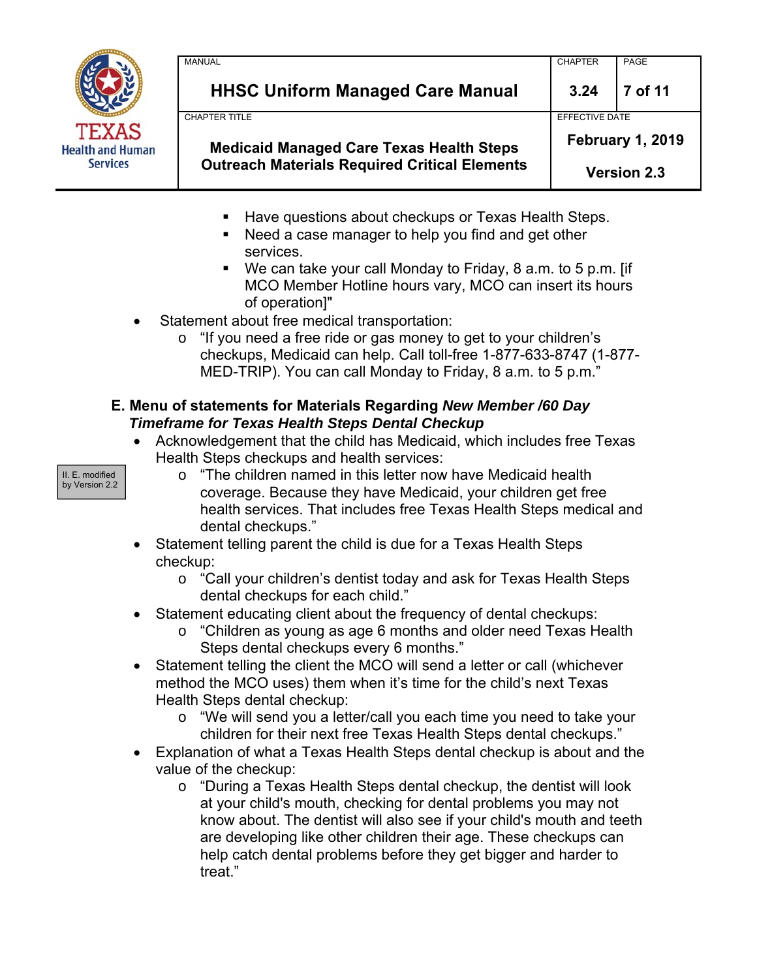

| <b>HHSC Uniform Managed Care Manual</b><br><b>CHAPTER TITLE</b> | 3.24<br>EFFECTIVE DATE  | 7 of 11 |
|-----------------------------------------------------------------|-------------------------|---------|
| <b>Medicaid Managed Care Texas Health Steps</b>                 | <b>February 1, 2019</b> |         |
| <b>Outreach Materials Required Critical Elements</b>            | <b>Version 2.3</b>      |         |

- **Have questions about checkups or Texas Health Steps.**
- Need a case manager to help you find and get other services.
- We can take your call Monday to Friday, 8 a.m. to 5 p.m. [if MCO Member Hotline hours vary, MCO can insert its hours of operation]"
- Statement about free medical transportation:
	- o "If you need a free ride or gas money to get to your children's checkups, Medicaid can help. Call toll-free 1-877-633-8747 (1-877- MED-TRIP). You can call Monday to Friday, 8 a.m. to 5 p.m."

# **E. Menu of statements for Materials Regarding** *New Member /60 Day Timeframe for Texas Health Steps Dental Checkup*

- Acknowledgement that the child has Medicaid, which includes free Texas Health Steps checkups and health services:
	- o "The children named in this letter now have Medicaid health coverage. Because they have Medicaid, your children get free health services. That includes free Texas Health Steps medical and dental checkups."
- Statement telling parent the child is due for a Texas Health Steps checkup:
	- o "Call your children's dentist today and ask for Texas Health Steps dental checkups for each child."
- Statement educating client about the frequency of dental checkups:
	- o "Children as young as age 6 months and older need Texas Health Steps dental checkups every 6 months."
- Statement telling the client the MCO will send a letter or call (whichever method the MCO uses) them when it's time for the child's next Texas Health Steps dental checkup:
	- o "We will send you a letter/call you each time you need to take your children for their next free Texas Health Steps dental checkups."
- Explanation of what a Texas Health Steps dental checkup is about and the value of the checkup:
	- o "During a Texas Health Steps dental checkup, the dentist will look at your child's mouth, checking for dental problems you may not know about. The dentist will also see if your child's mouth and teeth are developing like other children their age. These checkups can help catch dental problems before they get bigger and harder to treat."

II. E. modified by Version 2.2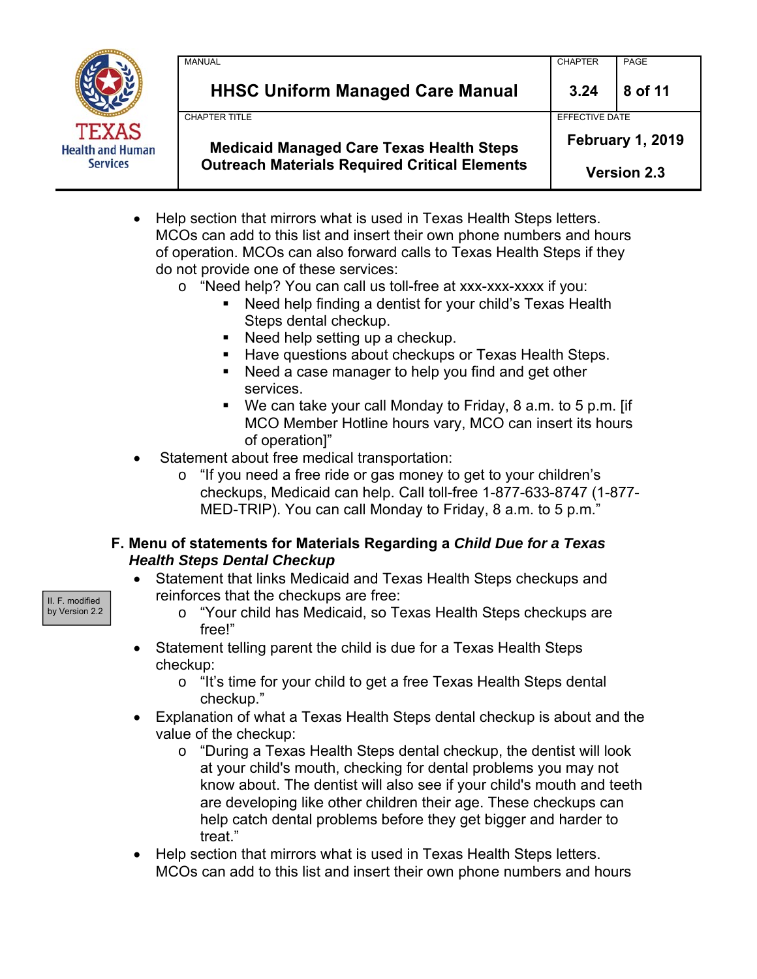

| <b>Medicaid Managed Care Texas Health Steps</b><br><b>Outreach Materials Required Critical Elements</b> |                | <b>February 1, 2019</b><br><b>Version 2.3</b> |
|---------------------------------------------------------------------------------------------------------|----------------|-----------------------------------------------|
| <b>CHAPTER TITLE</b>                                                                                    | EFFECTIVE DATE |                                               |
| <b>HHSC Uniform Managed Care Manual</b>                                                                 | 3.24           | 8 of 11                                       |
| <b>MANUAL</b>                                                                                           | <b>CHAPTER</b> | PAGE                                          |
|                                                                                                         |                |                                               |

• Help section that mirrors what is used in Texas Health Steps letters. MCOs can add to this list and insert their own phone numbers and hours of operation. MCOs can also forward calls to Texas Health Steps if they do not provide one of these services:

- o "Need help? You can call us toll-free at xxx-xxx-xxxx if you:
	- Need help finding a dentist for your child's Texas Health Steps dental checkup.
	- Need help setting up a checkup.
	- **Have questions about checkups or Texas Health Steps.**
	- Need a case manager to help you find and get other services.
	- We can take your call Monday to Friday, 8 a.m. to 5 p.m. [if MCO Member Hotline hours vary, MCO can insert its hours of operation]"
- Statement about free medical transportation:
	- o "If you need a free ride or gas money to get to your children's checkups, Medicaid can help. Call toll-free 1-877-633-8747 (1-877- MED-TRIP). You can call Monday to Friday, 8 a.m. to 5 p.m."

#### **F. Menu of statements for Materials Regarding a** *Child Due for a Texas Health Steps Dental Checkup*

- Statement that links Medicaid and Texas Health Steps checkups and reinforces that the checkups are free:
- II. F. modified by Version 2.2
- o "Your child has Medicaid, so Texas Health Steps checkups are free!"
- Statement telling parent the child is due for a Texas Health Steps checkup:
	- o "It's time for your child to get a free Texas Health Steps dental checkup."
- Explanation of what a Texas Health Steps dental checkup is about and the value of the checkup:
	- o "During a Texas Health Steps dental checkup, the dentist will look at your child's mouth, checking for dental problems you may not know about. The dentist will also see if your child's mouth and teeth are developing like other children their age. These checkups can help catch dental problems before they get bigger and harder to treat."
- Help section that mirrors what is used in Texas Health Steps letters. MCOs can add to this list and insert their own phone numbers and hours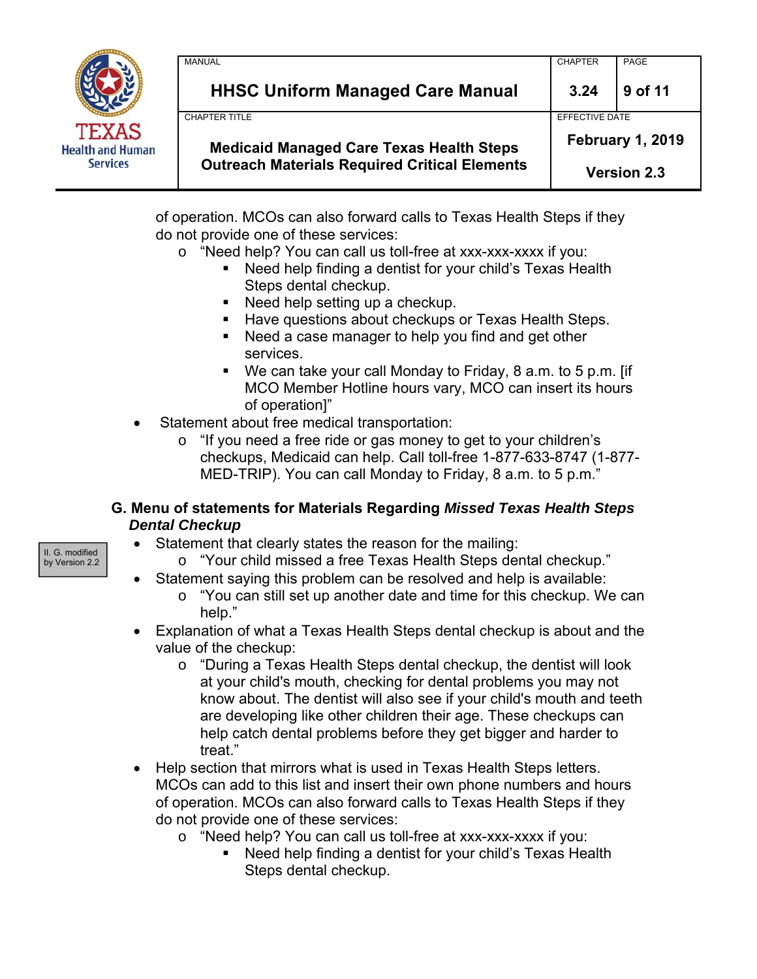

| <b>MANUAL</b>        |                                                      | <b>CHAPTER</b>          | PAGE               |  |
|----------------------|------------------------------------------------------|-------------------------|--------------------|--|
|                      | <b>HHSC Uniform Managed Care Manual</b>              | 3.24                    | 9 of 11            |  |
| <b>CHAPTER TITLE</b> |                                                      | EFFECTIVE DATE          |                    |  |
|                      | <b>Medicaid Managed Care Texas Health Steps</b>      | <b>February 1, 2019</b> |                    |  |
|                      | <b>Outreach Materials Required Critical Elements</b> |                         | <b>Version 2.3</b> |  |

of operation. MCOs can also forward calls to Texas Health Steps if they do not provide one of these services:

- o "Need help? You can call us toll-free at xxx-xxx-xxxx if you:
	- Need help finding a dentist for your child's Texas Health Steps dental checkup.
	- Need help setting up a checkup.
	- **Have questions about checkups or Texas Health Steps.**
	- Need a case manager to help you find and get other services.
	- We can take your call Monday to Friday, 8 a.m. to 5 p.m. [if MCO Member Hotline hours vary, MCO can insert its hours of operation]"
- Statement about free medical transportation:
	- o "If you need a free ride or gas money to get to your children's checkups, Medicaid can help. Call toll-free 1-877-633-8747 (1-877- MED-TRIP). You can call Monday to Friday, 8 a.m. to 5 p.m."

#### **G. Menu of statements for Materials Regarding** *Missed Texas Health Steps Dental Checkup*

- Statement that clearly states the reason for the mailing:
	- o "Your child missed a free Texas Health Steps dental checkup."
- Statement saying this problem can be resolved and help is available:
	- $\circ$  "You can still set up another date and time for this checkup. We can help."
- Explanation of what a Texas Health Steps dental checkup is about and the value of the checkup:
	- o "During a Texas Health Steps dental checkup, the dentist will look at your child's mouth, checking for dental problems you may not know about. The dentist will also see if your child's mouth and teeth are developing like other children their age. These checkups can help catch dental problems before they get bigger and harder to treat."
- Help section that mirrors what is used in Texas Health Steps letters. MCOs can add to this list and insert their own phone numbers and hours of operation. MCOs can also forward calls to Texas Health Steps if they do not provide one of these services:
	- o "Need help? You can call us toll-free at xxx-xxx-xxxx if you:
		- Need help finding a dentist for your child's Texas Health Steps dental checkup.

II. G. modified by Version 2.2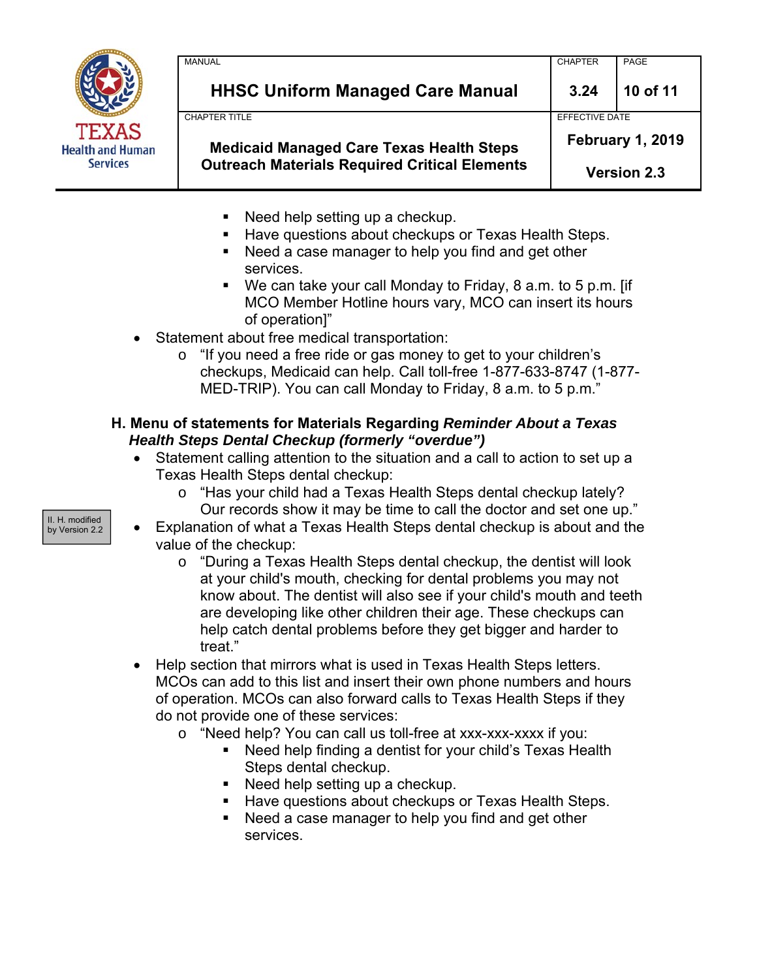

| <b>Medicaid Managed Care Texas Health Steps</b><br><b>Outreach Materials Required Critical Elements</b> | EFFECTIVE DATE<br><b>February 1, 2019</b><br><b>Version 2.3</b> |          |
|---------------------------------------------------------------------------------------------------------|-----------------------------------------------------------------|----------|
| <b>CHAPTER TITLE</b>                                                                                    |                                                                 |          |
| <b>HHSC Uniform Managed Care Manual</b>                                                                 | 3.24                                                            | 10 of 11 |
| <b>MANUAL</b>                                                                                           | <b>CHAPTER</b>                                                  | PAGE     |

- Need help setting up a checkup.
- Have questions about checkups or Texas Health Steps.
- Need a case manager to help you find and get other services.
- We can take your call Monday to Friday, 8 a.m. to 5 p.m. [if MCO Member Hotline hours vary, MCO can insert its hours of operation]"
- Statement about free medical transportation:
	- o "If you need a free ride or gas money to get to your children's checkups, Medicaid can help. Call toll-free 1-877-633-8747 (1-877- MED-TRIP). You can call Monday to Friday, 8 a.m. to 5 p.m."

## **H. Menu of statements for Materials Regarding** *Reminder About a Texas Health Steps Dental Checkup (formerly "overdue")*

- Statement calling attention to the situation and a call to action to set up a Texas Health Steps dental checkup:
	- o "Has your child had a Texas Health Steps dental checkup lately? Our records show it may be time to call the doctor and set one up."
- Explanation of what a Texas Health Steps dental checkup is about and the value of the checkup:
	- o "During a Texas Health Steps dental checkup, the dentist will look at your child's mouth, checking for dental problems you may not know about. The dentist will also see if your child's mouth and teeth are developing like other children their age. These checkups can help catch dental problems before they get bigger and harder to treat."
- Help section that mirrors what is used in Texas Health Steps letters. MCOs can add to this list and insert their own phone numbers and hours of operation. MCOs can also forward calls to Texas Health Steps if they do not provide one of these services:
	- o "Need help? You can call us toll-free at xxx-xxx-xxxx if you:
		- Need help finding a dentist for your child's Texas Health Steps dental checkup.
			- Need help setting up a checkup.
			- Have questions about checkups or Texas Health Steps.
			- Need a case manager to help you find and get other services.

II. H. modified by Version 2.2